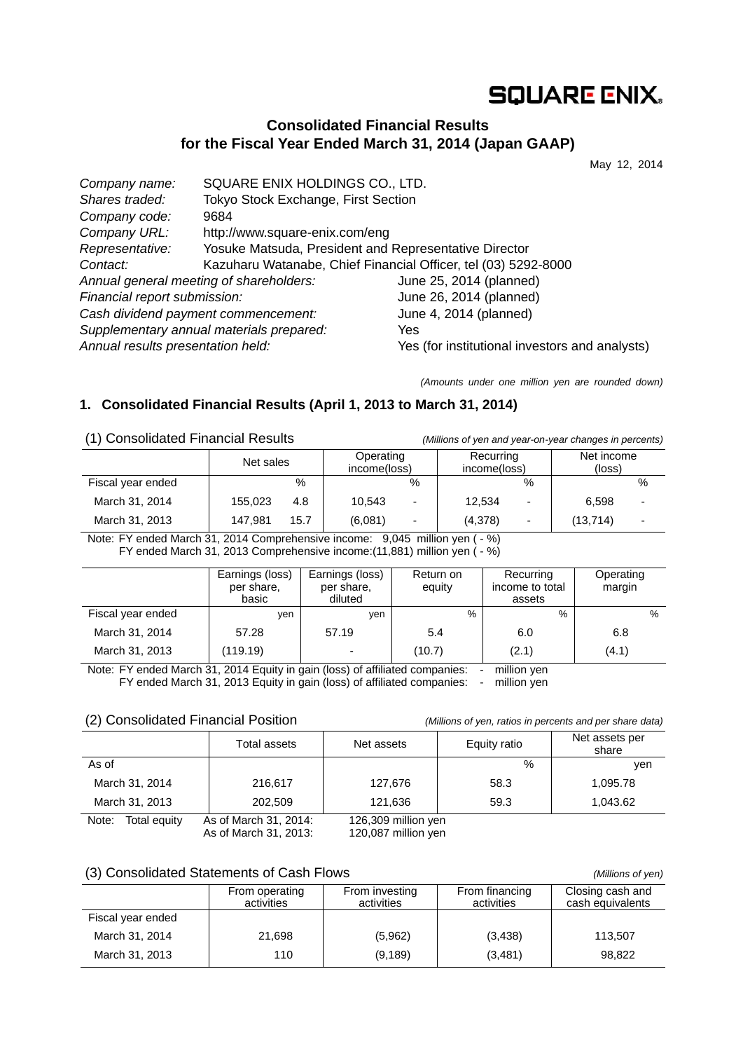# **SQUARE ENIX.**

## **Consolidated Financial Results for the Fiscal Year Ended March 31, 2014 (Japan GAAP)**

May 12, 2014

| SQUARE ENIX HOLDINGS CO., LTD.                                 |                                                |
|----------------------------------------------------------------|------------------------------------------------|
| Tokyo Stock Exchange, First Section                            |                                                |
| 9684                                                           |                                                |
| http://www.square-enix.com/eng                                 |                                                |
| Yosuke Matsuda, President and Representative Director          |                                                |
| Kazuharu Watanabe, Chief Financial Officer, tel (03) 5292-8000 |                                                |
| Annual general meeting of shareholders:                        | June 25, 2014 (planned)                        |
| Financial report submission:                                   | June 26, 2014 (planned)                        |
| Cash dividend payment commencement:                            | June 4, 2014 (planned)                         |
| Supplementary annual materials prepared:                       | Yes                                            |
| Annual results presentation held:                              | Yes (for institutional investors and analysts) |
|                                                                |                                                |

*(Amounts under one million yen are rounded down)* 

## **1. Consolidated Financial Results (April 1, 2013 to March 31, 2014)**

(1) Consolidated Financial Results *(Millions of yen and year-on-year changes in percents)*

|                   | Net sales |      | Operating<br>income(loss) |                          | Recurring<br>income(loss) |   | Net income<br>(loss) |   |
|-------------------|-----------|------|---------------------------|--------------------------|---------------------------|---|----------------------|---|
| Fiscal year ended |           | %    |                           | $\%$                     |                           | % |                      | % |
| March 31, 2014    | 155,023   | 4.8  | 10.543                    | $\overline{\phantom{0}}$ | 12.534                    | - | 6.598                |   |
| March 31, 2013    | 147.981   | 15.7 | (6,081)                   | $\overline{\phantom{0}}$ | (4,378)                   | ٠ | (13, 714)            |   |

Note: FY ended March 31, 2014 Comprehensive income: 9,045 million yen ( - %) FY ended March 31, 2013 Comprehensive income:(11,881) million yen ( - %)

|                   | Earnings (loss)<br>per share,<br>basic | Earnings (loss)<br>per share,<br>diluted | Return on<br>equity | Recurring<br>income to total<br>assets | Operating<br>margin |
|-------------------|----------------------------------------|------------------------------------------|---------------------|----------------------------------------|---------------------|
| Fiscal year ended | ven                                    | ven                                      | %                   | %                                      | %                   |
| March 31, 2014    | 57.28                                  | 57.19                                    | 5.4                 | 6.0                                    | 6.8                 |
| March 31, 2013    | (119.19)                               | $\overline{\phantom{0}}$                 | (10.7)              | (2.1)                                  | (4.1)               |

Note: FY ended March 31, 2014 Equity in gain (loss) of affiliated companies: - million yen FY ended March 31, 2013 Equity in gain (loss) of affiliated companies: - million yen

### (2) Consolidated Financial Position *(Millions of yen, ratios in percents and per share data)*

|                       | Total assets                                                                                                               | Net assets                                                     | Equity ratio | Net assets per<br>share |
|-----------------------|----------------------------------------------------------------------------------------------------------------------------|----------------------------------------------------------------|--------------|-------------------------|
| As of                 |                                                                                                                            |                                                                | $\%$         | ven                     |
| March 31, 2014        | 216.617                                                                                                                    | 127.676                                                        | 58.3         | 1,095.78                |
| March 31, 2013        | 202,509                                                                                                                    | 121.636                                                        | 59.3         | 1.043.62                |
| Note:<br>Total equity | As of March 31, 2014:<br>$\Delta = 1$ $\Delta$ $\Delta$ $\Delta = 0$ $\Delta$ $\Delta$ $\Delta$ $\Delta$ $\Delta$ $\Delta$ | 126,309 million yen<br>$400.007 \times 10^{12} \times 10^{12}$ |              |                         |

As of March 31, 2013: 120,087 million yen

#### (3) Consolidated Statements of Cash Flows *(Millions of yen)*

|                   | From operating<br>activities | From investing<br>activities | From financing<br>activities | Closing cash and<br>cash equivalents |
|-------------------|------------------------------|------------------------------|------------------------------|--------------------------------------|
| Fiscal year ended |                              |                              |                              |                                      |
| March 31, 2014    | 21.698                       | (5,962)                      | (3, 438)                     | 113.507                              |
| March 31, 2013    | 110                          | (9, 189)                     | (3,481)                      | 98.822                               |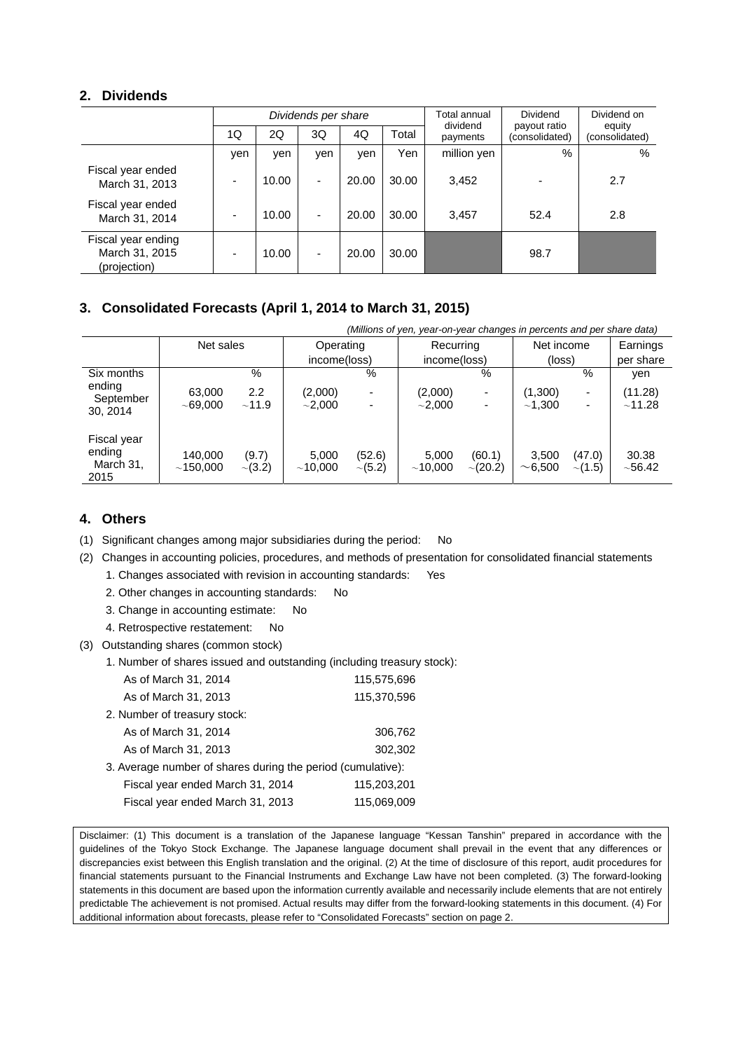### **2. Dividends**

|                                                      | Dividends per share |       |                          |       |       | Total annual<br>dividend | Dividend<br>payout ratio | Dividend on<br>equity |  |
|------------------------------------------------------|---------------------|-------|--------------------------|-------|-------|--------------------------|--------------------------|-----------------------|--|
|                                                      | 1Q                  | 2Q    | 3Q                       | 4Q    | Total | payments                 | (consolidated)           | (consolidated)        |  |
|                                                      | yen                 | yen   | yen                      | yen   | Yen   | million yen              | $\%$                     | %                     |  |
| Fiscal year ended<br>March 31, 2013                  |                     | 10.00 | $\blacksquare$           | 20.00 | 30.00 | 3,452                    |                          | 2.7                   |  |
| Fiscal year ended<br>March 31, 2014                  |                     | 10.00 | $\overline{\phantom{0}}$ | 20.00 | 30.00 | 3,457                    | 52.4                     | 2.8                   |  |
| Fiscal year ending<br>March 31, 2015<br>(projection) |                     | 10.00 |                          | 20.00 | 30.00 |                          | 98.7                     |                       |  |

### **3. Consolidated Forecasts (April 1, 2014 to March 31, 2015)**

| (Millions of yen, year-on-year changes in percents and per share data) |              |              |              |                           |                          |                           |                          |                      |
|------------------------------------------------------------------------|--------------|--------------|--------------|---------------------------|--------------------------|---------------------------|--------------------------|----------------------|
|                                                                        |              |              |              |                           |                          |                           |                          | Earnings             |
|                                                                        |              |              |              |                           |                          |                           |                          | per share            |
|                                                                        | %            |              | %            |                           | %                        |                           | %                        | ven                  |
| 63,000                                                                 | 2.2          | (2,000)      |              | (2,000)                   | $\overline{\phantom{a}}$ | (1,300)                   | ۰                        | (11.28)              |
| ~1000                                                                  | ~11.9        | $\sim$ 2,000 |              | ${\sim}2.000$             | $\overline{\phantom{a}}$ | ~1.300                    | $\overline{\phantom{0}}$ | ~11.28               |
|                                                                        |              |              |              |                           |                          |                           |                          |                      |
|                                                                        |              |              |              |                           |                          |                           |                          |                      |
| 140.000                                                                | (9.7)        | 5.000        | (52.6)       | 5,000                     | (60.1)                   | 3.500                     | (47.0)                   | 30.38                |
| ~150.000                                                               | $\sim$ (3.2) | ~10.000      | $\sim$ (5.2) | ~10.000                   | $\sim$ (20.2)            | ~100                      | $\sim$ (1.5)             | $~10-56.42$          |
|                                                                        |              | Net sales    |              | Operating<br>income(loss) |                          | Recurring<br>income(loss) |                          | Net income<br>(loss) |

### **4. Others**

- (1) Significant changes among major subsidiaries during the period: No
- (2) Changes in accounting policies, procedures, and methods of presentation for consolidated financial statements
	- 1. Changes associated with revision in accounting standards: Yes
	- 2. Other changes in accounting standards: No
	- 3. Change in accounting estimate: No
	- 4. Retrospective restatement: No
- (3) Outstanding shares (common stock)
	- 1. Number of shares issued and outstanding (including treasury stock):

| As of March 31, 2014                                        | 115,575,696 |
|-------------------------------------------------------------|-------------|
| As of March 31, 2013                                        | 115,370,596 |
| 2. Number of treasury stock:                                |             |
| As of March 31, 2014                                        | 306,762     |
| As of March 31, 2013                                        | 302,302     |
| 3. Average number of shares during the period (cumulative): |             |
| Fiscal year ended March 31, 2014                            | 115,203,201 |
| Fiscal year ended March 31, 2013                            | 115,069,009 |

Disclaimer: (1) This document is a translation of the Japanese language "Kessan Tanshin" prepared in accordance with the guidelines of the Tokyo Stock Exchange. The Japanese language document shall prevail in the event that any differences or discrepancies exist between this English translation and the original. (2) At the time of disclosure of this report, audit procedures for financial statements pursuant to the Financial Instruments and Exchange Law have not been completed. (3) The forward-looking statements in this document are based upon the information currently available and necessarily include elements that are not entirely predictable The achievement is not promised. Actual results may differ from the forward-looking statements in this document. (4) For additional information about forecasts, please refer to "Consolidated Forecasts" section on page 2.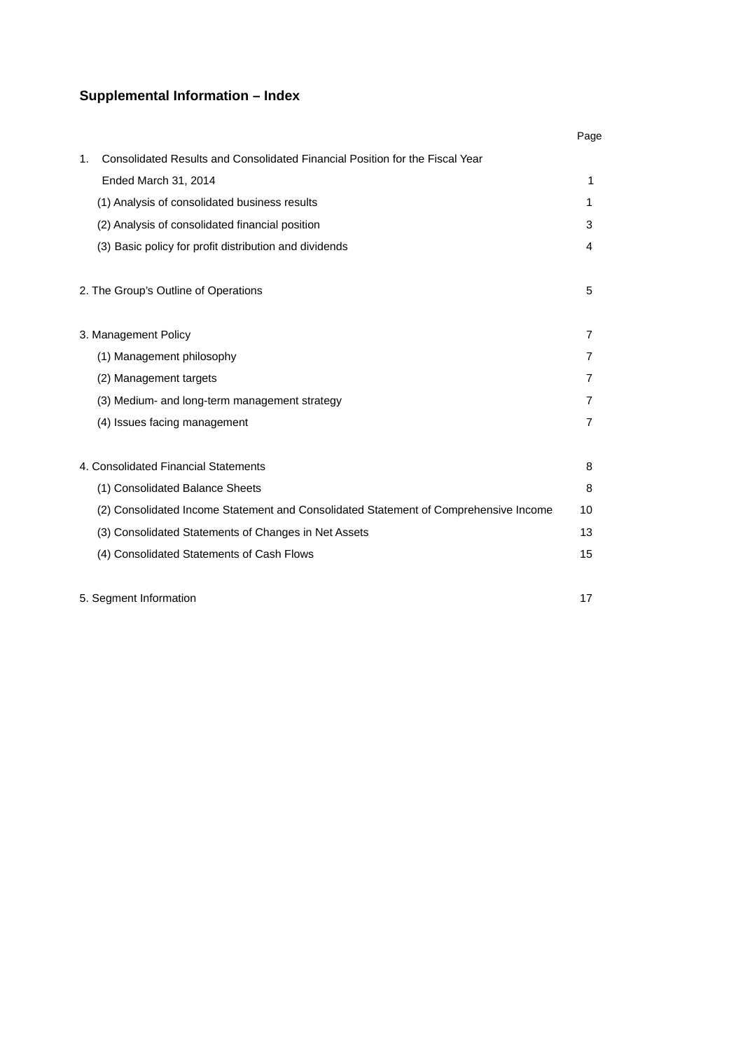## **Supplemental Information – Index**

|                                                                                      | Page           |
|--------------------------------------------------------------------------------------|----------------|
| Consolidated Results and Consolidated Financial Position for the Fiscal Year<br>1.   |                |
| Ended March 31, 2014                                                                 | 1              |
| (1) Analysis of consolidated business results                                        | 1              |
| (2) Analysis of consolidated financial position                                      | 3              |
| (3) Basic policy for profit distribution and dividends                               | 4              |
| 2. The Group's Outline of Operations                                                 | 5              |
| 3. Management Policy                                                                 | 7              |
| (1) Management philosophy                                                            | 7              |
| (2) Management targets                                                               | 7              |
| (3) Medium- and long-term management strategy                                        | 7              |
| (4) Issues facing management                                                         | $\overline{7}$ |
| 4. Consolidated Financial Statements                                                 | 8              |
| (1) Consolidated Balance Sheets                                                      | 8              |
| (2) Consolidated Income Statement and Consolidated Statement of Comprehensive Income | 10             |
| (3) Consolidated Statements of Changes in Net Assets                                 | 13             |
| (4) Consolidated Statements of Cash Flows                                            | 15             |
|                                                                                      |                |

5. Segment Information 17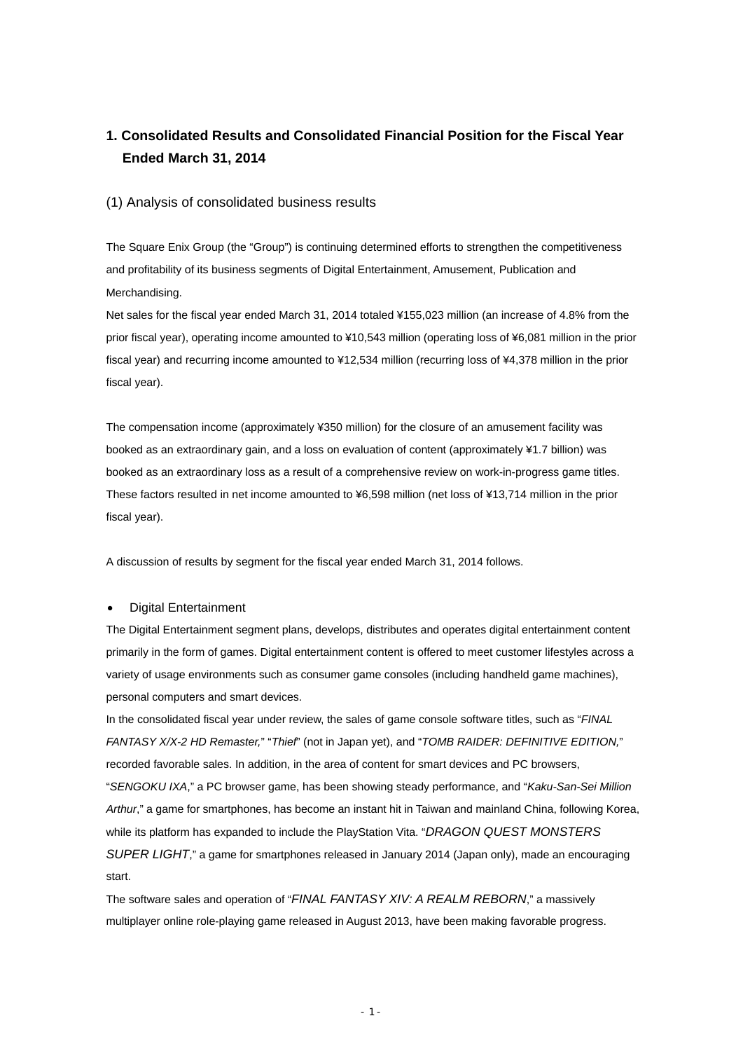## **1. Consolidated Results and Consolidated Financial Position for the Fiscal Year Ended March 31, 2014**

#### (1) Analysis of consolidated business results

The Square Enix Group (the "Group") is continuing determined efforts to strengthen the competitiveness and profitability of its business segments of Digital Entertainment, Amusement, Publication and Merchandising.

Net sales for the fiscal year ended March 31, 2014 totaled ¥155,023 million (an increase of 4.8% from the prior fiscal year), operating income amounted to ¥10,543 million (operating loss of ¥6,081 million in the prior fiscal year) and recurring income amounted to ¥12,534 million (recurring loss of ¥4,378 million in the prior fiscal year).

The compensation income (approximately ¥350 million) for the closure of an amusement facility was booked as an extraordinary gain, and a loss on evaluation of content (approximately ¥1.7 billion) was booked as an extraordinary loss as a result of a comprehensive review on work-in-progress game titles. These factors resulted in net income amounted to ¥6,598 million (net loss of ¥13,714 million in the prior fiscal year).

A discussion of results by segment for the fiscal year ended March 31, 2014 follows.

#### Digital Entertainment

The Digital Entertainment segment plans, develops, distributes and operates digital entertainment content primarily in the form of games. Digital entertainment content is offered to meet customer lifestyles across a variety of usage environments such as consumer game consoles (including handheld game machines), personal computers and smart devices.

In the consolidated fiscal year under review, the sales of game console software titles, such as "*FINAL FANTASY X/X-2 HD Remaster,*" "*Thief*" (not in Japan yet), and "*TOMB RAIDER: DEFINITIVE EDITION,*" recorded favorable sales. In addition, in the area of content for smart devices and PC browsers, "*SENGOKU IXA*," a PC browser game, has been showing steady performance, and "*Kaku-San-Sei Million Arthur*," a game for smartphones, has become an instant hit in Taiwan and mainland China, following Korea, while its platform has expanded to include the PlayStation Vita. "*DRAGON QUEST MONSTERS SUPER LIGHT*," a game for smartphones released in January 2014 (Japan only), made an encouraging start.

The software sales and operation of "*FINAL FANTASY XIV: A REALM REBORN*," a massively multiplayer online role-playing game released in August 2013, have been making favorable progress.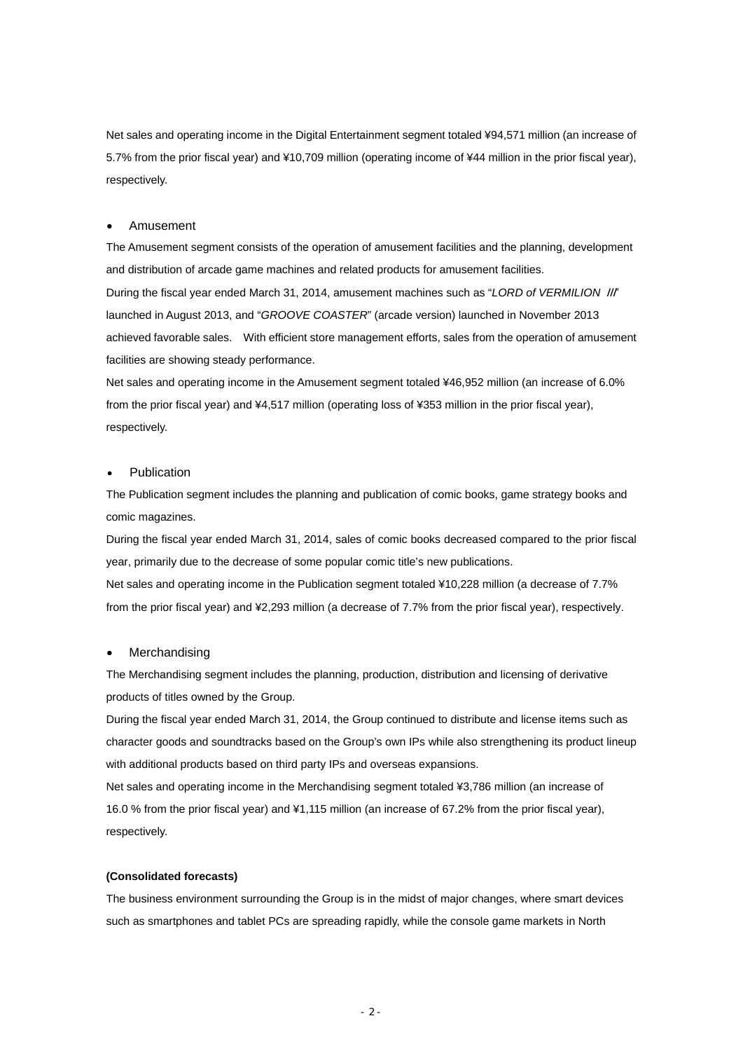Net sales and operating income in the Digital Entertainment segment totaled ¥94,571 million (an increase of 5.7% from the prior fiscal year) and ¥10,709 million (operating income of ¥44 million in the prior fiscal year), respectively.

#### Amusement

The Amusement segment consists of the operation of amusement facilities and the planning, development and distribution of arcade game machines and related products for amusement facilities. During the fiscal year ended March 31, 2014, amusement machines such as "*LORD of VERMILION* Ⅲ" launched in August 2013, and "*GROOVE COASTER*" (arcade version) launched in November 2013 achieved favorable sales. With efficient store management efforts, sales from the operation of amusement facilities are showing steady performance.

Net sales and operating income in the Amusement segment totaled ¥46,952 million (an increase of 6.0% from the prior fiscal year) and ¥4,517 million (operating loss of ¥353 million in the prior fiscal year), respectively.

#### Publication

The Publication segment includes the planning and publication of comic books, game strategy books and comic magazines.

During the fiscal year ended March 31, 2014, sales of comic books decreased compared to the prior fiscal year, primarily due to the decrease of some popular comic title's new publications.

Net sales and operating income in the Publication segment totaled ¥10,228 million (a decrease of 7.7% from the prior fiscal year) and ¥2,293 million (a decrease of 7.7% from the prior fiscal year), respectively.

#### Merchandising

The Merchandising segment includes the planning, production, distribution and licensing of derivative products of titles owned by the Group.

During the fiscal year ended March 31, 2014, the Group continued to distribute and license items such as character goods and soundtracks based on the Group's own IPs while also strengthening its product lineup with additional products based on third party IPs and overseas expansions.

Net sales and operating income in the Merchandising segment totaled ¥3,786 million (an increase of 16.0 % from the prior fiscal year) and ¥1,115 million (an increase of 67.2% from the prior fiscal year), respectively.

#### **(Consolidated forecasts)**

The business environment surrounding the Group is in the midst of major changes, where smart devices such as smartphones and tablet PCs are spreading rapidly, while the console game markets in North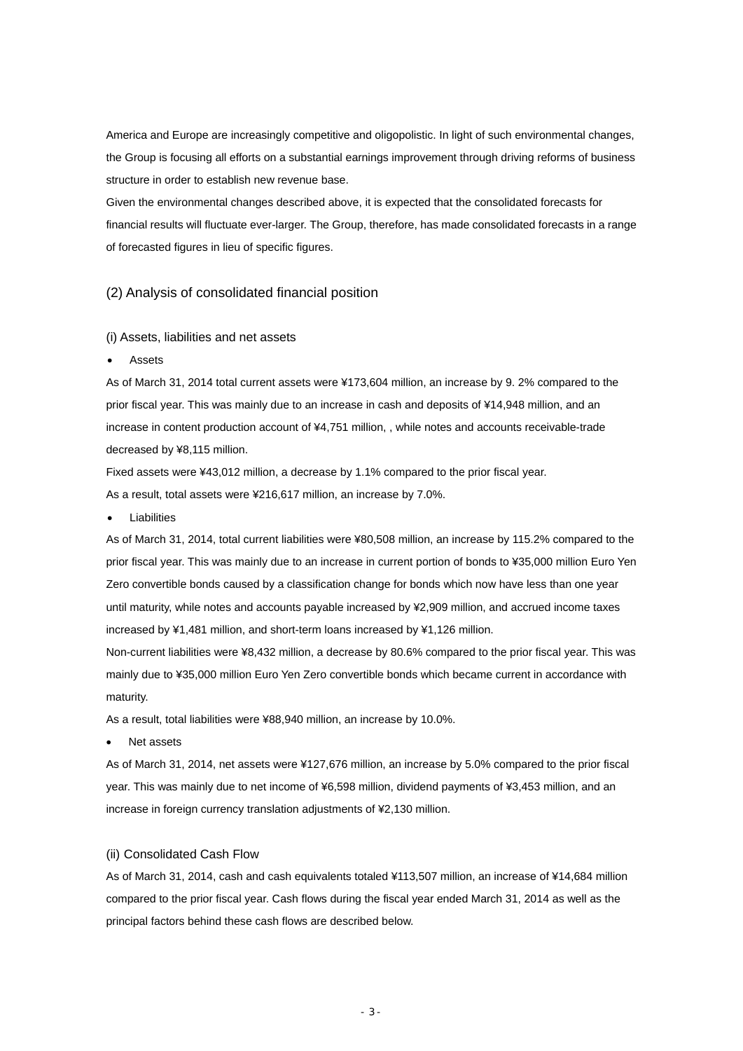America and Europe are increasingly competitive and oligopolistic. In light of such environmental changes, the Group is focusing all efforts on a substantial earnings improvement through driving reforms of business structure in order to establish new revenue base.

Given the environmental changes described above, it is expected that the consolidated forecasts for financial results will fluctuate ever-larger. The Group, therefore, has made consolidated forecasts in a range of forecasted figures in lieu of specific figures.

### (2) Analysis of consolidated financial position

#### (i) Assets, liabilities and net assets

Assets

As of March 31, 2014 total current assets were ¥173,604 million, an increase by 9. 2% compared to the prior fiscal year. This was mainly due to an increase in cash and deposits of ¥14,948 million, and an increase in content production account of ¥4,751 million, , while notes and accounts receivable-trade decreased by ¥8,115 million.

Fixed assets were ¥43,012 million, a decrease by 1.1% compared to the prior fiscal year. As a result, total assets were ¥216,617 million, an increase by 7.0%.

Liabilities

As of March 31, 2014, total current liabilities were ¥80,508 million, an increase by 115.2% compared to the prior fiscal year. This was mainly due to an increase in current portion of bonds to ¥35,000 million Euro Yen Zero convertible bonds caused by a classification change for bonds which now have less than one year until maturity, while notes and accounts payable increased by ¥2,909 million, and accrued income taxes increased by ¥1,481 million, and short-term loans increased by ¥1,126 million.

Non-current liabilities were ¥8,432 million, a decrease by 80.6% compared to the prior fiscal year. This was mainly due to ¥35,000 million Euro Yen Zero convertible bonds which became current in accordance with maturity.

As a result, total liabilities were ¥88,940 million, an increase by 10.0%.

Net assets

As of March 31, 2014, net assets were ¥127,676 million, an increase by 5.0% compared to the prior fiscal year. This was mainly due to net income of ¥6,598 million, dividend payments of ¥3,453 million, and an increase in foreign currency translation adjustments of ¥2,130 million.

#### (ii) Consolidated Cash Flow

As of March 31, 2014, cash and cash equivalents totaled ¥113,507 million, an increase of ¥14,684 million compared to the prior fiscal year. Cash flows during the fiscal year ended March 31, 2014 as well as the principal factors behind these cash flows are described below.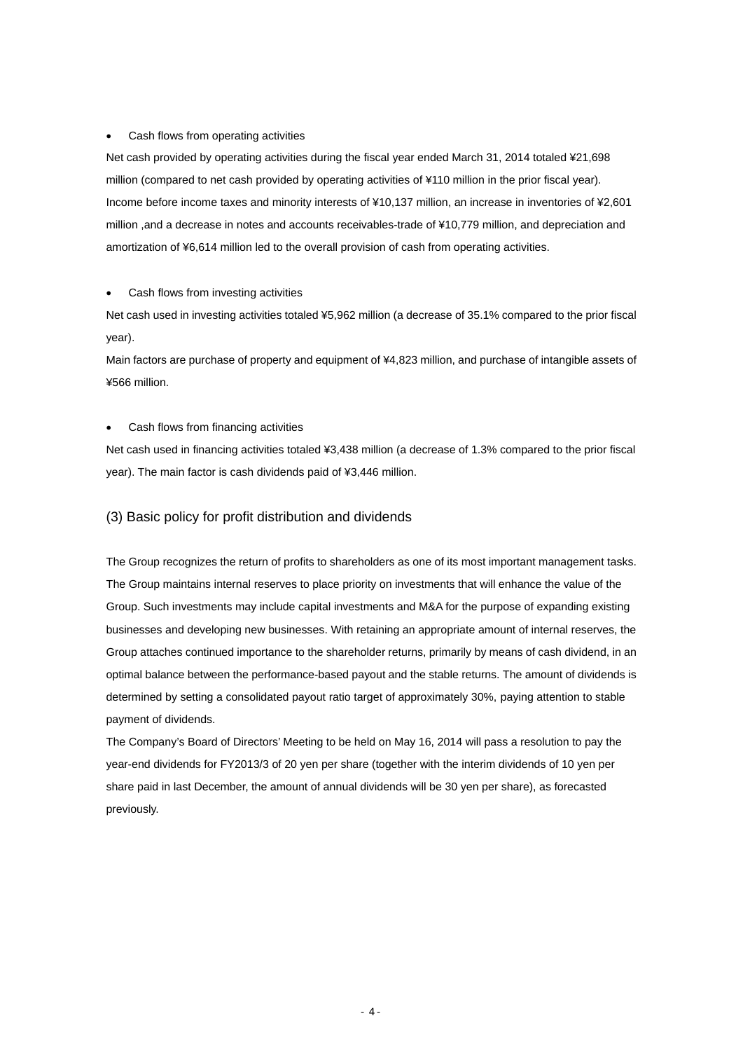#### Cash flows from operating activities

Net cash provided by operating activities during the fiscal year ended March 31, 2014 totaled ¥21,698 million (compared to net cash provided by operating activities of ¥110 million in the prior fiscal year). Income before income taxes and minority interests of ¥10,137 million, an increase in inventories of ¥2,601 million ,and a decrease in notes and accounts receivables-trade of ¥10,779 million, and depreciation and amortization of ¥6,614 million led to the overall provision of cash from operating activities.

#### Cash flows from investing activities

Net cash used in investing activities totaled ¥5,962 million (a decrease of 35.1% compared to the prior fiscal year).

Main factors are purchase of property and equipment of ¥4,823 million, and purchase of intangible assets of ¥566 million.

#### Cash flows from financing activities

Net cash used in financing activities totaled ¥3,438 million (a decrease of 1.3% compared to the prior fiscal year). The main factor is cash dividends paid of ¥3,446 million.

#### (3) Basic policy for profit distribution and dividends

The Group recognizes the return of profits to shareholders as one of its most important management tasks. The Group maintains internal reserves to place priority on investments that will enhance the value of the Group. Such investments may include capital investments and M&A for the purpose of expanding existing businesses and developing new businesses. With retaining an appropriate amount of internal reserves, the Group attaches continued importance to the shareholder returns, primarily by means of cash dividend, in an optimal balance between the performance-based payout and the stable returns. The amount of dividends is determined by setting a consolidated payout ratio target of approximately 30%, paying attention to stable payment of dividends.

The Company's Board of Directors' Meeting to be held on May 16, 2014 will pass a resolution to pay the year-end dividends for FY2013/3 of 20 yen per share (together with the interim dividends of 10 yen per share paid in last December, the amount of annual dividends will be 30 yen per share), as forecasted previously.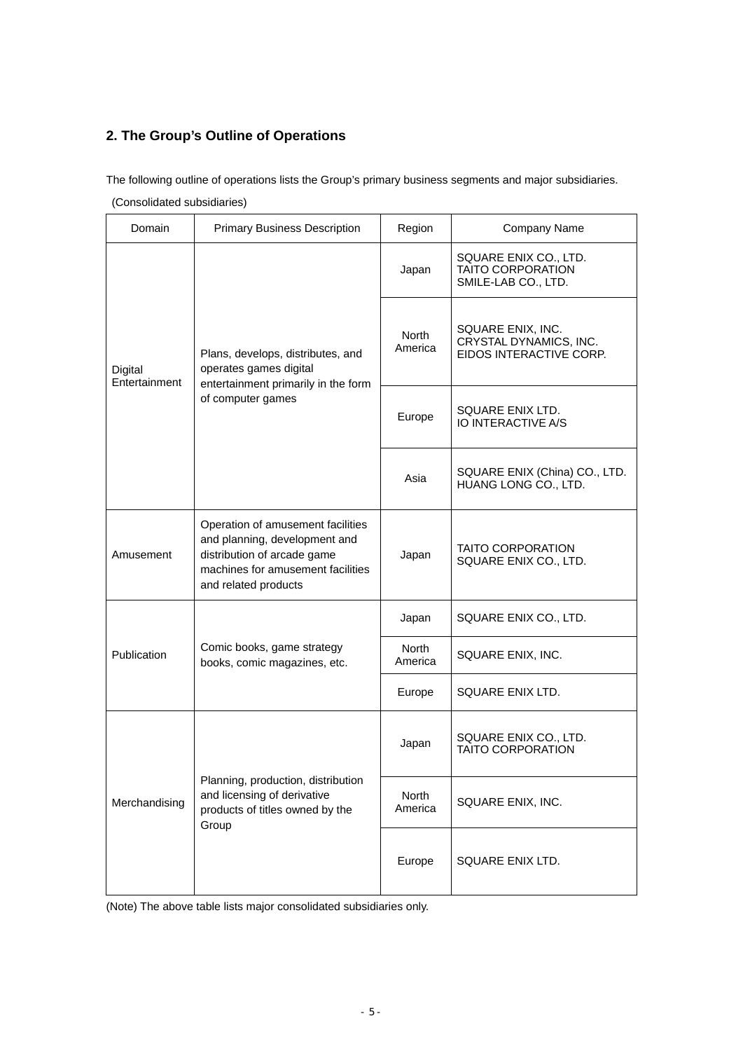## **2. The Group's Outline of Operations**

The following outline of operations lists the Group's primary business segments and major subsidiaries.

(Consolidated subsidiaries)

| Domain                   | <b>Primary Business Description</b>                                                                                                                            | Region                  | Company Name                                                             |
|--------------------------|----------------------------------------------------------------------------------------------------------------------------------------------------------------|-------------------------|--------------------------------------------------------------------------|
|                          |                                                                                                                                                                | Japan                   | SQUARE ENIX CO., LTD.<br><b>TAITO CORPORATION</b><br>SMILE-LAB CO., LTD. |
| Digital<br>Entertainment | Plans, develops, distributes, and<br>operates games digital<br>entertainment primarily in the form                                                             | North<br>America        | SQUARE ENIX, INC.<br>CRYSTAL DYNAMICS, INC.<br>EIDOS INTERACTIVE CORP.   |
|                          | of computer games                                                                                                                                              | Europe                  | SQUARE ENIX LTD.<br>IO INTERACTIVE A/S                                   |
|                          |                                                                                                                                                                | Asia                    | SQUARE ENIX (China) CO., LTD.<br>HUANG LONG CO., LTD.                    |
| Amusement                | Operation of amusement facilities<br>and planning, development and<br>distribution of arcade game<br>machines for amusement facilities<br>and related products | Japan                   | <b>TAITO CORPORATION</b><br>SQUARE ENIX CO., LTD.                        |
|                          |                                                                                                                                                                | Japan                   | SQUARE ENIX CO., LTD.                                                    |
| Publication              | Comic books, game strategy<br>books, comic magazines, etc.                                                                                                     | North<br>America        | SQUARE ENIX, INC.                                                        |
|                          |                                                                                                                                                                | Europe                  | SQUARE ENIX LTD.                                                         |
|                          |                                                                                                                                                                | Japan                   | SQUARE ENIX CO., LTD.<br><b>TAITO CORPORATION</b>                        |
| Merchandising            | Planning, production, distribution<br>and licensing of derivative<br>products of titles owned by the<br>Group                                                  | <b>North</b><br>America | SQUARE ENIX, INC.                                                        |
|                          |                                                                                                                                                                | Europe                  | SQUARE ENIX LTD.                                                         |

(Note) The above table lists major consolidated subsidiaries only.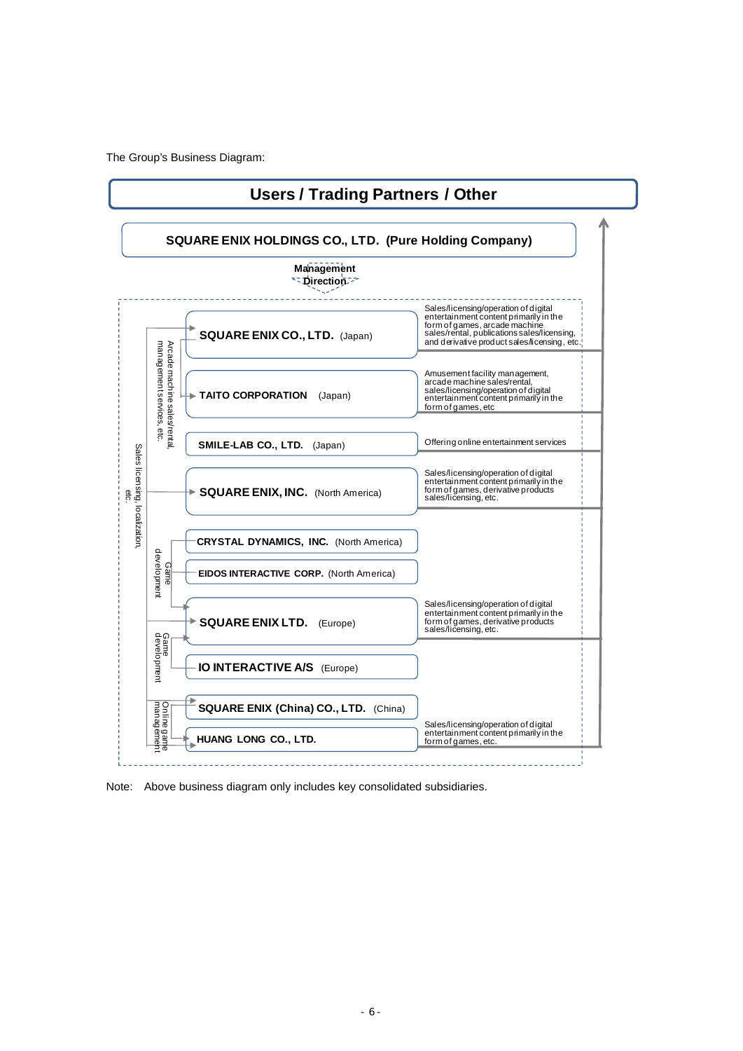The Group's Business Diagram:



Note: Above business diagram only includes key consolidated subsidiaries.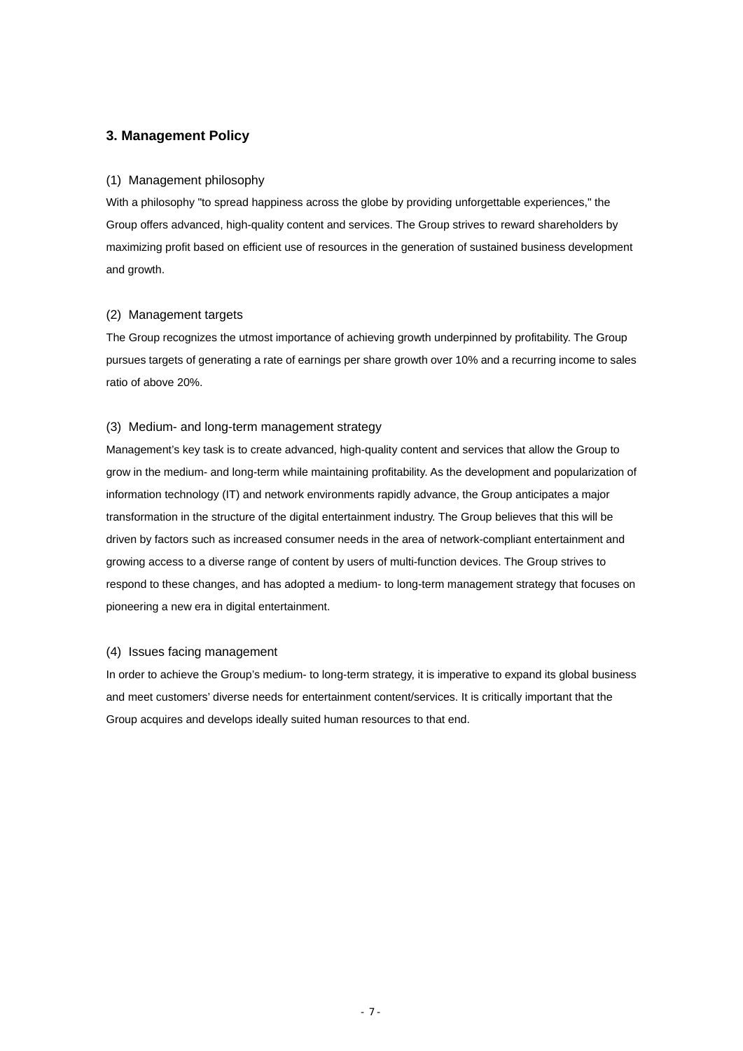### **3. Management Policy**

#### (1) Management philosophy

With a philosophy "to spread happiness across the globe by providing unforgettable experiences," the Group offers advanced, high-quality content and services. The Group strives to reward shareholders by maximizing profit based on efficient use of resources in the generation of sustained business development and growth.

#### (2) Management targets

The Group recognizes the utmost importance of achieving growth underpinned by profitability. The Group pursues targets of generating a rate of earnings per share growth over 10% and a recurring income to sales ratio of above 20%.

#### (3) Medium- and long-term management strategy

Management's key task is to create advanced, high-quality content and services that allow the Group to grow in the medium- and long-term while maintaining profitability. As the development and popularization of information technology (IT) and network environments rapidly advance, the Group anticipates a major transformation in the structure of the digital entertainment industry. The Group believes that this will be driven by factors such as increased consumer needs in the area of network-compliant entertainment and growing access to a diverse range of content by users of multi-function devices. The Group strives to respond to these changes, and has adopted a medium- to long-term management strategy that focuses on pioneering a new era in digital entertainment.

#### (4) Issues facing management

In order to achieve the Group's medium- to long-term strategy, it is imperative to expand its global business and meet customers' diverse needs for entertainment content/services. It is critically important that the Group acquires and develops ideally suited human resources to that end.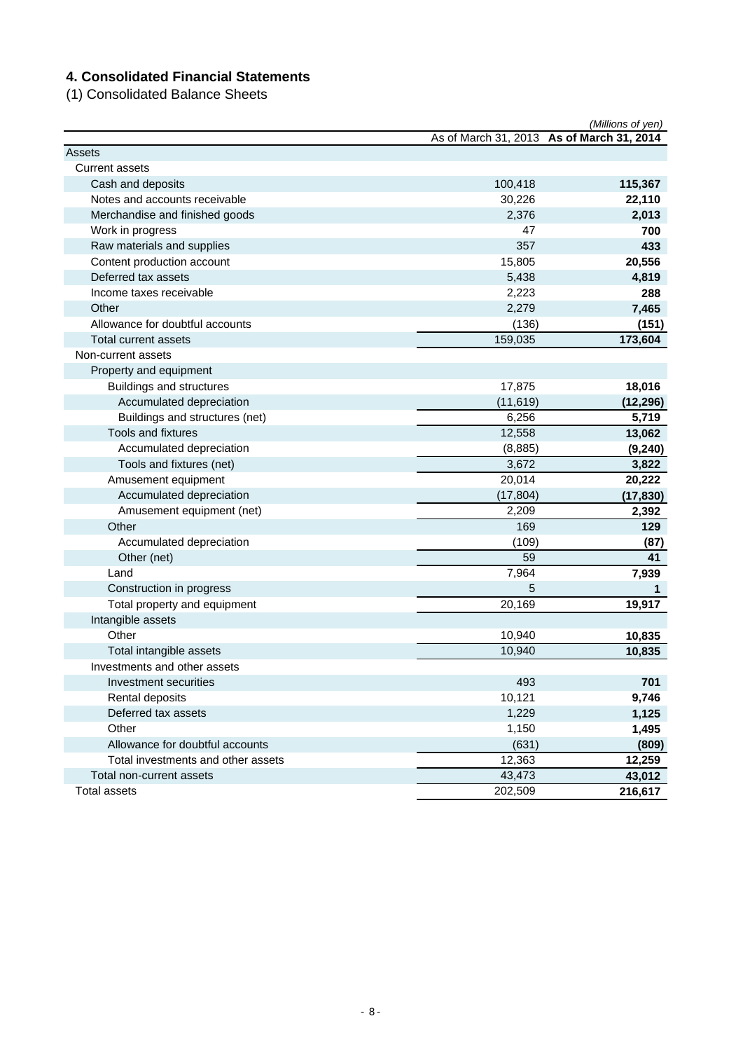## **4. Consolidated Financial Statements**

(1) Consolidated Balance Sheets

|                                    |           | (Millions of yen)                         |
|------------------------------------|-----------|-------------------------------------------|
|                                    |           | As of March 31, 2013 As of March 31, 2014 |
| Assets                             |           |                                           |
| <b>Current assets</b>              |           |                                           |
| Cash and deposits                  | 100,418   | 115,367                                   |
| Notes and accounts receivable      | 30,226    | 22,110                                    |
| Merchandise and finished goods     | 2,376     | 2,013                                     |
| Work in progress                   | 47        | 700                                       |
| Raw materials and supplies         | 357       | 433                                       |
| Content production account         | 15,805    | 20,556                                    |
| Deferred tax assets                | 5,438     | 4,819                                     |
| Income taxes receivable            | 2,223     | 288                                       |
| Other                              | 2,279     | 7,465                                     |
| Allowance for doubtful accounts    | (136)     | (151)                                     |
| <b>Total current assets</b>        | 159,035   | 173,604                                   |
| Non-current assets                 |           |                                           |
| Property and equipment             |           |                                           |
| <b>Buildings and structures</b>    | 17,875    | 18,016                                    |
| Accumulated depreciation           | (11, 619) | (12, 296)                                 |
| Buildings and structures (net)     | 6,256     | 5,719                                     |
| Tools and fixtures                 | 12,558    | 13,062                                    |
| Accumulated depreciation           | (8,885)   | (9, 240)                                  |
| Tools and fixtures (net)           | 3,672     | 3,822                                     |
| Amusement equipment                | 20,014    | 20,222                                    |
| Accumulated depreciation           | (17, 804) | (17, 830)                                 |
| Amusement equipment (net)          | 2,209     | 2,392                                     |
| Other                              | 169       | 129                                       |
| Accumulated depreciation           | (109)     | (87)                                      |
| Other (net)                        | 59        | 41                                        |
| Land                               | 7,964     | 7,939                                     |
| Construction in progress           | 5         | 1                                         |
| Total property and equipment       | 20,169    | 19,917                                    |
| Intangible assets                  |           |                                           |
| Other                              | 10,940    | 10,835                                    |
| Total intangible assets            | 10,940    | 10,835                                    |
| Investments and other assets       |           |                                           |
| Investment securities              | 493       | 701                                       |
| Rental deposits                    | 10,121    | 9,746                                     |
| Deferred tax assets                | 1,229     | 1,125                                     |
| Other                              | 1,150     | 1,495                                     |
| Allowance for doubtful accounts    | (631)     | (809)                                     |
| Total investments and other assets | 12,363    | 12,259                                    |
| Total non-current assets           | 43,473    | 43,012                                    |
| <b>Total assets</b>                | 202,509   | 216,617                                   |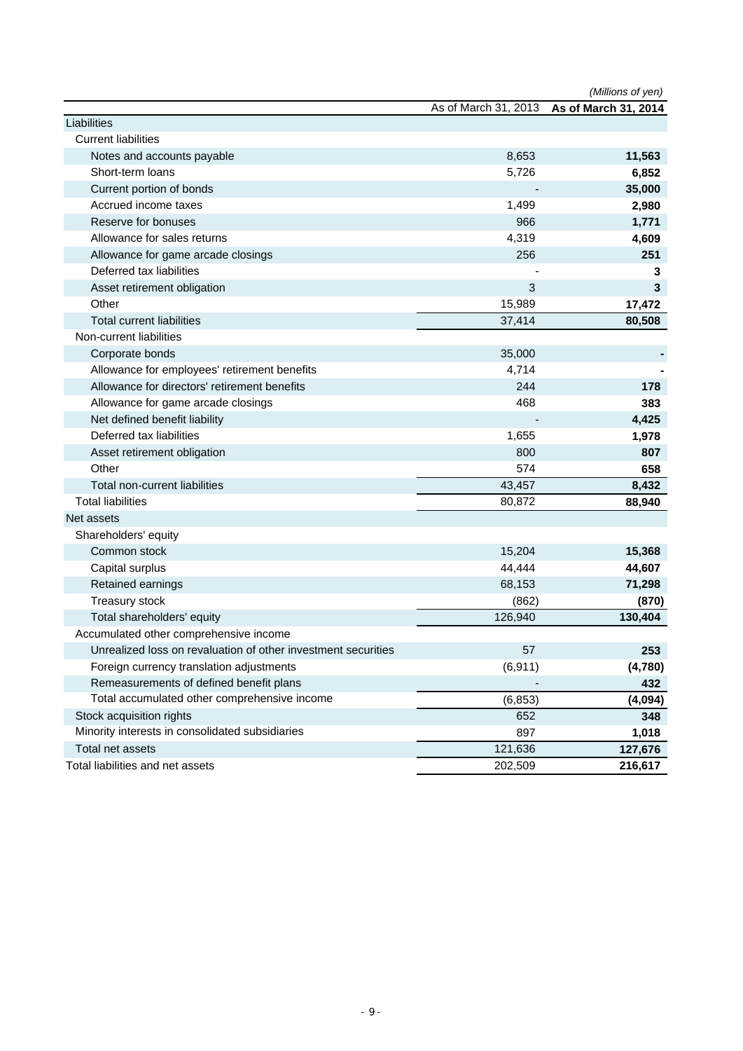|                                                                                              | As of March 31, 2013 | (Millions of yen)<br>As of March 31, 2014 |
|----------------------------------------------------------------------------------------------|----------------------|-------------------------------------------|
| Liabilities                                                                                  |                      |                                           |
| <b>Current liabilities</b>                                                                   |                      |                                           |
| Notes and accounts payable                                                                   | 8,653                | 11,563                                    |
| Short-term loans                                                                             | 5,726                | 6,852                                     |
| Current portion of bonds                                                                     |                      | 35,000                                    |
| Accrued income taxes                                                                         | 1,499                | 2,980                                     |
| Reserve for bonuses                                                                          | 966                  | 1,771                                     |
| Allowance for sales returns                                                                  | 4,319                | 4,609                                     |
| Allowance for game arcade closings                                                           | 256                  | 251                                       |
| Deferred tax liabilities                                                                     |                      | 3                                         |
| Asset retirement obligation                                                                  | 3                    | 3                                         |
| Other                                                                                        | 15,989               | 17,472                                    |
| <b>Total current liabilities</b>                                                             | 37,414               | 80,508                                    |
| Non-current liabilities                                                                      |                      |                                           |
|                                                                                              | 35,000               |                                           |
| Corporate bonds                                                                              | 4,714                |                                           |
| Allowance for employees' retirement benefits<br>Allowance for directors' retirement benefits |                      |                                           |
|                                                                                              | 244                  | 178                                       |
| Allowance for game arcade closings                                                           | 468                  | 383                                       |
| Net defined benefit liability                                                                |                      | 4,425                                     |
| Deferred tax liabilities                                                                     | 1,655                | 1,978                                     |
| Asset retirement obligation                                                                  | 800                  | 807                                       |
| Other                                                                                        | 574                  | 658                                       |
| Total non-current liabilities                                                                | 43,457               | 8,432                                     |
| <b>Total liabilities</b>                                                                     | 80,872               | 88,940                                    |
| Net assets                                                                                   |                      |                                           |
| Shareholders' equity                                                                         |                      |                                           |
| Common stock                                                                                 | 15,204               | 15,368                                    |
| Capital surplus                                                                              | 44,444               | 44,607                                    |
| Retained earnings                                                                            | 68,153               | 71,298                                    |
| Treasury stock                                                                               | (862)                | (870)                                     |
| Total shareholders' equity                                                                   | 126,940              | 130,404                                   |
| Accumulated other comprehensive income                                                       |                      |                                           |
| Unrealized loss on revaluation of other investment securities                                | 57                   | 253                                       |
| Foreign currency translation adjustments                                                     | (6, 911)             | (4,780)                                   |
| Remeasurements of defined benefit plans                                                      |                      | 432                                       |
| Total accumulated other comprehensive income                                                 | (6, 853)             | (4,094)                                   |
| Stock acquisition rights                                                                     | 652                  | 348                                       |
| Minority interests in consolidated subsidiaries                                              | 897                  | 1,018                                     |
| Total net assets                                                                             | 121,636              | 127,676                                   |
| Total liabilities and net assets                                                             | 202,509              | 216,617                                   |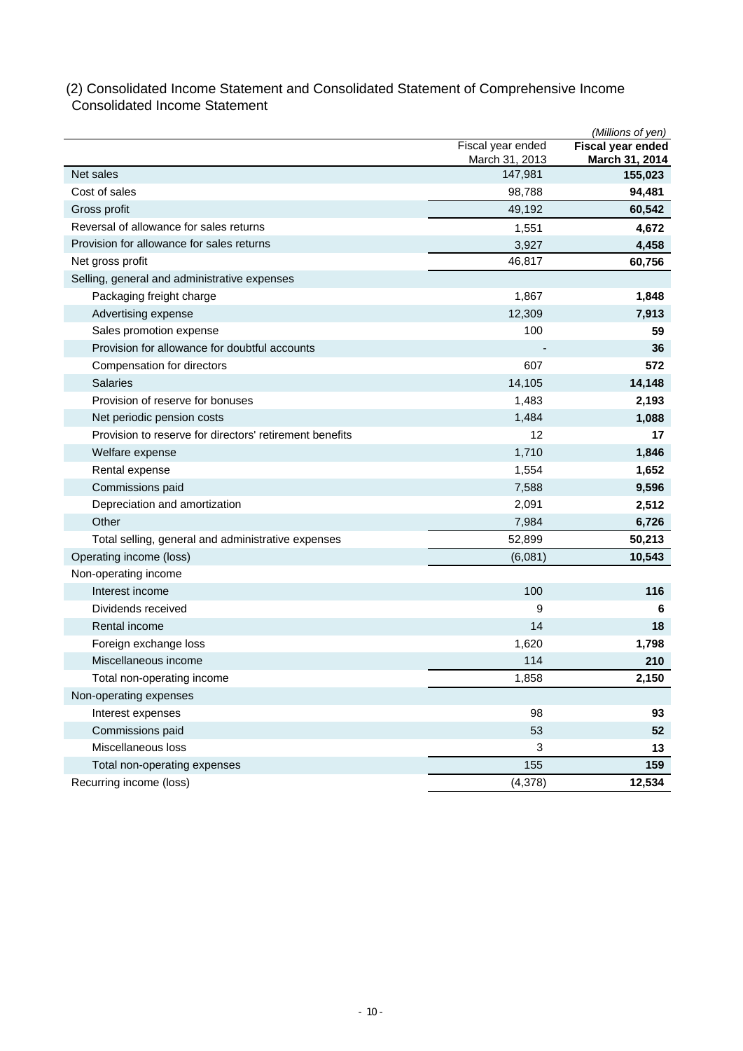### (2) Consolidated Income Statement and Consolidated Statement of Comprehensive Income Consolidated Income Statement

|                                                         |                                     | (Millions of yen)                   |
|---------------------------------------------------------|-------------------------------------|-------------------------------------|
|                                                         | Fiscal year ended<br>March 31, 2013 | Fiscal year ended<br>March 31, 2014 |
| Net sales                                               | 147,981                             | 155,023                             |
| Cost of sales                                           | 98,788                              | 94,481                              |
| Gross profit                                            | 49,192                              | 60,542                              |
| Reversal of allowance for sales returns                 | 1,551                               | 4,672                               |
| Provision for allowance for sales returns               | 3,927                               | 4,458                               |
| Net gross profit                                        | 46,817                              | 60,756                              |
| Selling, general and administrative expenses            |                                     |                                     |
| Packaging freight charge                                | 1,867                               | 1,848                               |
| Advertising expense                                     | 12,309                              | 7,913                               |
| Sales promotion expense                                 | 100                                 | 59                                  |
| Provision for allowance for doubtful accounts           |                                     | 36                                  |
| Compensation for directors                              | 607                                 | 572                                 |
| <b>Salaries</b>                                         | 14,105                              | 14,148                              |
| Provision of reserve for bonuses                        | 1,483                               | 2,193                               |
| Net periodic pension costs                              | 1,484                               | 1,088                               |
| Provision to reserve for directors' retirement benefits | 12                                  | 17                                  |
| Welfare expense                                         | 1,710                               | 1,846                               |
| Rental expense                                          | 1,554                               | 1,652                               |
| Commissions paid                                        | 7,588                               | 9,596                               |
| Depreciation and amortization                           | 2,091                               | 2,512                               |
| Other                                                   | 7,984                               | 6,726                               |
| Total selling, general and administrative expenses      | 52,899                              | 50,213                              |
| Operating income (loss)                                 | (6,081)                             | 10,543                              |
| Non-operating income                                    |                                     |                                     |
| Interest income                                         | 100                                 | 116                                 |
| Dividends received                                      | 9                                   | 6                                   |
| Rental income                                           | 14                                  | 18                                  |
| Foreign exchange loss                                   | 1,620                               | 1,798                               |
| Miscellaneous income                                    | 114                                 | 210                                 |
| Total non-operating income                              | 1,858                               | 2,150                               |
| Non-operating expenses                                  |                                     |                                     |
| Interest expenses                                       | 98                                  | 93                                  |
| Commissions paid                                        | 53                                  | 52                                  |
| Miscellaneous loss                                      | 3                                   | 13                                  |
| Total non-operating expenses                            | 155                                 | 159                                 |
| Recurring income (loss)                                 | (4,378)                             | 12,534                              |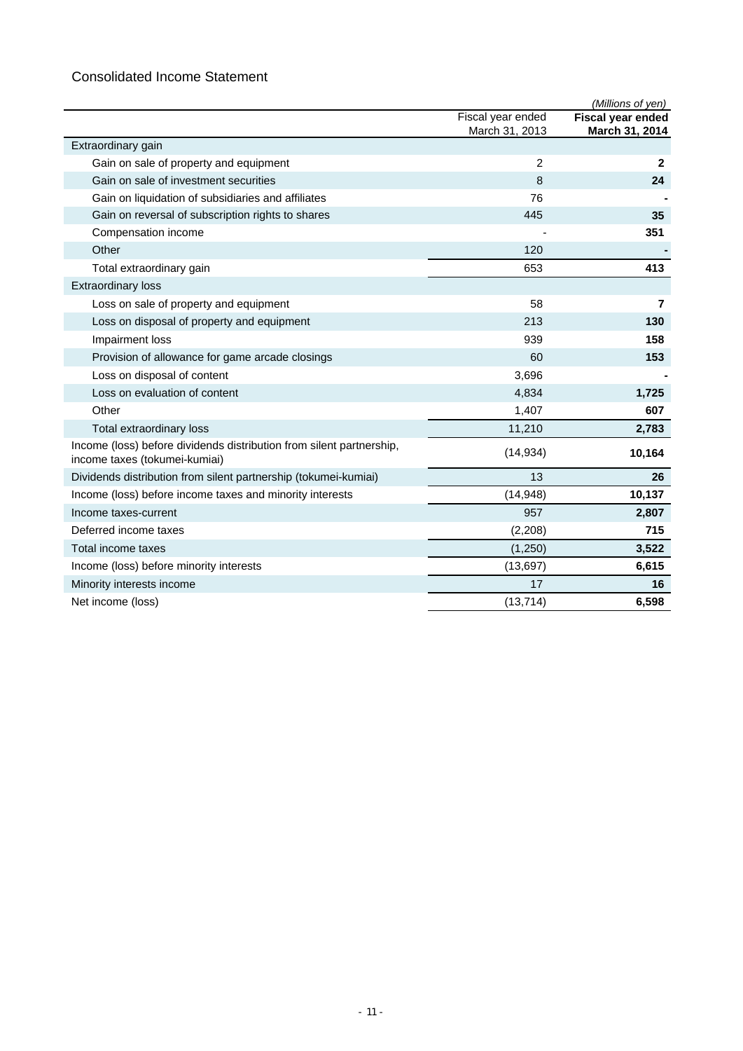## Consolidated Income Statement

|                                                                                                       |                   | (Millions of yen)        |
|-------------------------------------------------------------------------------------------------------|-------------------|--------------------------|
|                                                                                                       | Fiscal year ended | <b>Fiscal year ended</b> |
|                                                                                                       | March 31, 2013    | March 31, 2014           |
| Extraordinary gain                                                                                    |                   |                          |
| Gain on sale of property and equipment                                                                | 2                 | $\mathbf{2}$             |
| Gain on sale of investment securities                                                                 | 8                 | 24                       |
| Gain on liquidation of subsidiaries and affiliates                                                    | 76                |                          |
| Gain on reversal of subscription rights to shares                                                     | 445               | 35                       |
| Compensation income                                                                                   |                   | 351                      |
| Other                                                                                                 | 120               |                          |
| Total extraordinary gain                                                                              | 653               | 413                      |
| <b>Extraordinary loss</b>                                                                             |                   |                          |
| Loss on sale of property and equipment                                                                | 58                | $\overline{7}$           |
| Loss on disposal of property and equipment                                                            | 213               | 130                      |
| Impairment loss                                                                                       | 939               | 158                      |
| Provision of allowance for game arcade closings                                                       | 60                | 153                      |
| Loss on disposal of content                                                                           | 3,696             |                          |
| Loss on evaluation of content                                                                         | 4,834             | 1,725                    |
| Other                                                                                                 | 1,407             | 607                      |
| Total extraordinary loss                                                                              | 11,210            | 2,783                    |
| Income (loss) before dividends distribution from silent partnership,<br>income taxes (tokumei-kumiai) | (14, 934)         | 10,164                   |
| Dividends distribution from silent partnership (tokumei-kumiai)                                       | 13                | 26                       |
| Income (loss) before income taxes and minority interests                                              | (14, 948)         | 10,137                   |
| Income taxes-current                                                                                  | 957               | 2,807                    |
| Deferred income taxes                                                                                 | (2,208)           | 715                      |
| Total income taxes                                                                                    | (1,250)           | 3,522                    |
| Income (loss) before minority interests                                                               | (13, 697)         | 6,615                    |
| Minority interests income                                                                             | 17                | 16                       |
| Net income (loss)                                                                                     | (13, 714)         | 6,598                    |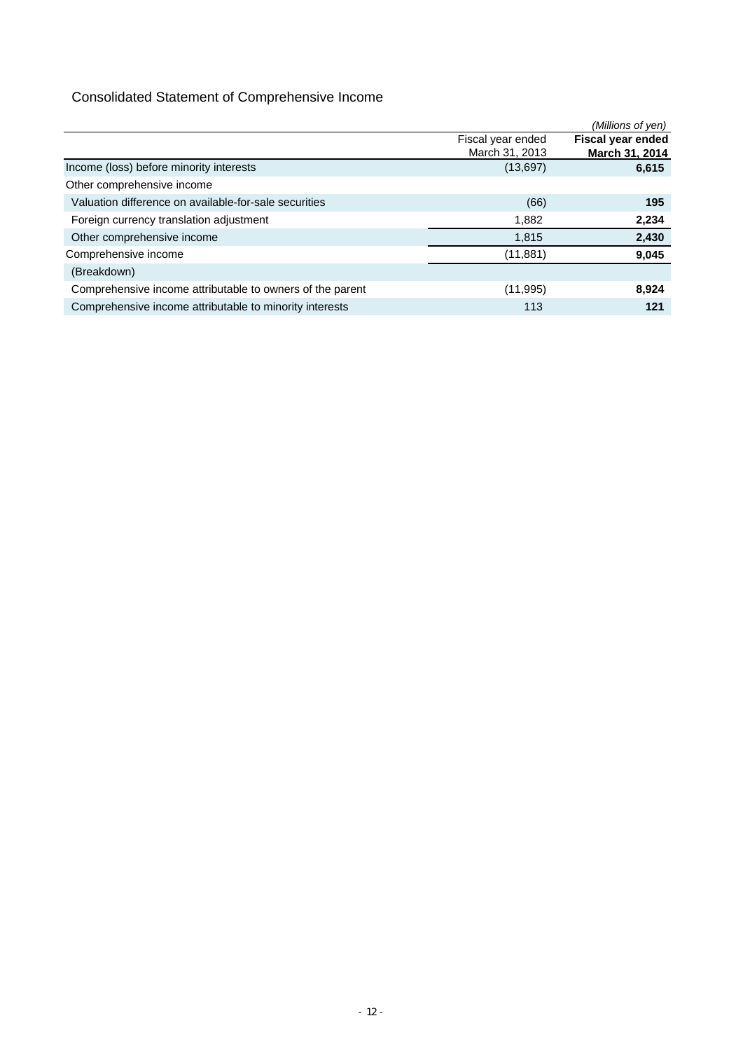## Consolidated Statement of Comprehensive Income

|                                                           |                   | (Millions of yen)        |
|-----------------------------------------------------------|-------------------|--------------------------|
|                                                           | Fiscal year ended | <b>Fiscal year ended</b> |
|                                                           | March 31, 2013    | March 31, 2014           |
| Income (loss) before minority interests                   | (13,697)          | 6,615                    |
| Other comprehensive income                                |                   |                          |
| Valuation difference on available-for-sale securities     | (66)              | 195                      |
| Foreign currency translation adjustment                   | 1,882             | 2,234                    |
| Other comprehensive income                                | 1,815             | 2,430                    |
| Comprehensive income                                      | (11, 881)         | 9,045                    |
| (Breakdown)                                               |                   |                          |
| Comprehensive income attributable to owners of the parent | (11, 995)         | 8,924                    |
| Comprehensive income attributable to minority interests   | 113               | 121                      |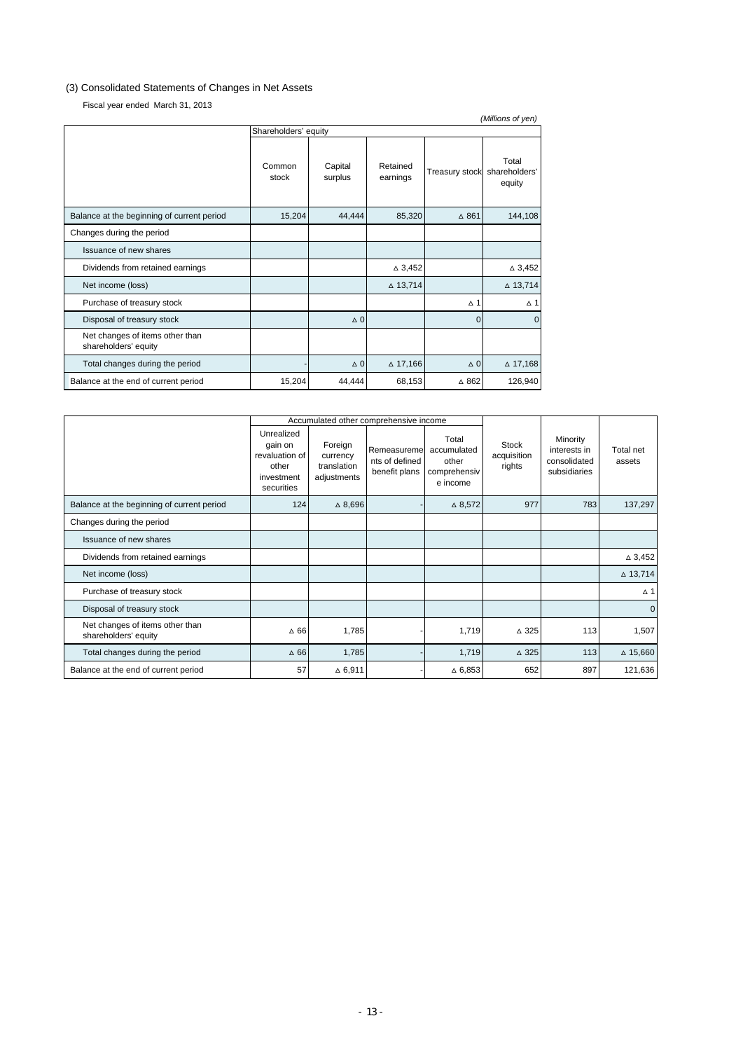### (3) Consolidated Statements of Changes in Net Assets

Fiscal year ended March 31, 2013

| (Millions of yen)                                       |                 |                    |                      |                       |                                  |  |  |  |  |
|---------------------------------------------------------|-----------------|--------------------|----------------------|-----------------------|----------------------------------|--|--|--|--|
| Shareholders' equity                                    |                 |                    |                      |                       |                                  |  |  |  |  |
|                                                         | Common<br>stock | Capital<br>surplus | Retained<br>earnings | <b>Treasury stock</b> | Total<br>shareholders'<br>equity |  |  |  |  |
| Balance at the beginning of current period              | 15,204          | 44,444             | 85,320               | $\triangle$ 861       | 144,108                          |  |  |  |  |
| Changes during the period                               |                 |                    |                      |                       |                                  |  |  |  |  |
| Issuance of new shares                                  |                 |                    |                      |                       |                                  |  |  |  |  |
| Dividends from retained earnings                        |                 |                    | $\triangle$ 3,452    |                       | $\triangle$ 3,452                |  |  |  |  |
| Net income (loss)                                       |                 |                    | $\triangle$ 13,714   |                       | $\triangle$ 13,714               |  |  |  |  |
| Purchase of treasury stock                              |                 |                    |                      | $\wedge$ 1            | $\Delta$ 1                       |  |  |  |  |
| Disposal of treasury stock                              |                 | $\Delta$ 0         |                      | $\mathbf 0$           | $\Omega$                         |  |  |  |  |
| Net changes of items other than<br>shareholders' equity |                 |                    |                      |                       |                                  |  |  |  |  |
| Total changes during the period                         |                 | $\Delta$ 0         | $\triangle$ 17,166   | $\Delta$ 0            | $\Delta$ 17,168                  |  |  |  |  |
| Balance at the end of current period                    | 15,204          | 44,444             | 68,153               | $\Delta$ 862          | 126,940                          |  |  |  |  |

|                                                         |                                                                              |                                                   | Accumulated other comprehensive income          |                                                           |                                       |                                                          |                     |
|---------------------------------------------------------|------------------------------------------------------------------------------|---------------------------------------------------|-------------------------------------------------|-----------------------------------------------------------|---------------------------------------|----------------------------------------------------------|---------------------|
|                                                         | Unrealized<br>gain on<br>revaluation of<br>other<br>investment<br>securities | Foreign<br>currency<br>translation<br>adjustments | Remeasuremel<br>nts of defined<br>benefit plans | Total<br>accumulated<br>other<br>comprehensiv<br>e income | <b>Stock</b><br>acquisition<br>rights | Minority<br>interests in<br>consolidated<br>subsidiaries | Total net<br>assets |
| Balance at the beginning of current period              | 124                                                                          | $\triangle$ 8,696                                 |                                                 | $\triangle$ 8,572                                         | 977                                   | 783                                                      | 137,297             |
| Changes during the period                               |                                                                              |                                                   |                                                 |                                                           |                                       |                                                          |                     |
| Issuance of new shares                                  |                                                                              |                                                   |                                                 |                                                           |                                       |                                                          |                     |
| Dividends from retained earnings                        |                                                                              |                                                   |                                                 |                                                           |                                       |                                                          | $\triangle 3,452$   |
| Net income (loss)                                       |                                                                              |                                                   |                                                 |                                                           |                                       |                                                          | △ 13,714            |
| Purchase of treasury stock                              |                                                                              |                                                   |                                                 |                                                           |                                       |                                                          | $\Delta$ 1          |
| Disposal of treasury stock                              |                                                                              |                                                   |                                                 |                                                           |                                       |                                                          | $\mathbf{0}$        |
| Net changes of items other than<br>shareholders' equity | $\Delta$ 66                                                                  | 1,785                                             |                                                 | 1,719                                                     | $\Delta$ 325                          | 113                                                      | 1,507               |
| Total changes during the period                         | $\Delta$ 66                                                                  | 1,785                                             |                                                 | 1,719                                                     | $\triangle$ 325                       | 113                                                      | $\triangle$ 15,660  |
| Balance at the end of current period                    | 57                                                                           | $\Delta$ 6,911                                    |                                                 | $\triangle$ 6,853                                         | 652                                   | 897                                                      | 121,636             |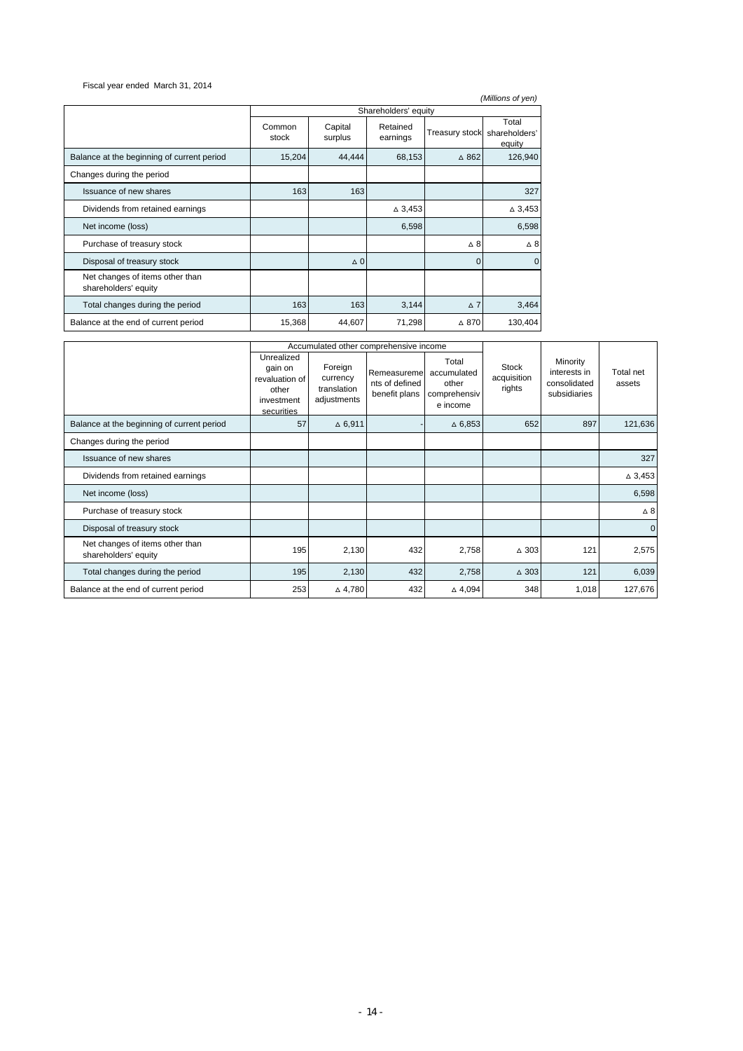Fiscal year ended March 31, 2014

|                                                         |                 |                    |                      |                       | (Millions of yen)                |
|---------------------------------------------------------|-----------------|--------------------|----------------------|-----------------------|----------------------------------|
|                                                         |                 |                    | Shareholders' equity |                       |                                  |
|                                                         | Common<br>stock | Capital<br>surplus | Retained<br>earnings | <b>Treasury stock</b> | Total<br>shareholders'<br>equity |
| Balance at the beginning of current period              | 15,204          | 44,444             | 68,153               | $\Delta$ 862          | 126,940                          |
| Changes during the period                               |                 |                    |                      |                       |                                  |
| Issuance of new shares                                  | 163             | 163                |                      |                       | 327                              |
| Dividends from retained earnings                        |                 |                    | $\triangle$ 3,453    |                       | $\triangle$ 3,453                |
| Net income (loss)                                       |                 |                    | 6,598                |                       | 6,598                            |
| Purchase of treasury stock                              |                 |                    |                      | $\Delta$ 8            | $\triangle$ 8                    |
| Disposal of treasury stock                              |                 | $\triangle$ 0      |                      | $\Omega$              | $\Omega$                         |
| Net changes of items other than<br>shareholders' equity |                 |                    |                      |                       |                                  |
| Total changes during the period                         | 163             | 163                | 3,144                | $\Delta$ 7            | 3,464                            |
| Balance at the end of current period                    | 15,368          | 44,607             | 71,298               | △ 870                 | 130,404                          |

|                                                         |                                                                              |                                                   | Accumulated other comprehensive income          |                                                           |                                       |                                                          |                     |
|---------------------------------------------------------|------------------------------------------------------------------------------|---------------------------------------------------|-------------------------------------------------|-----------------------------------------------------------|---------------------------------------|----------------------------------------------------------|---------------------|
|                                                         | Unrealized<br>gain on<br>revaluation of<br>other<br>investment<br>securities | Foreign<br>currency<br>translation<br>adjustments | Remeasuremel<br>nts of defined<br>benefit plans | Total<br>accumulated<br>other<br>comprehensiv<br>e income | <b>Stock</b><br>acquisition<br>rights | Minority<br>interests in<br>consolidated<br>subsidiaries | Total net<br>assets |
| Balance at the beginning of current period              | 57                                                                           | $\triangle$ 6,911                                 |                                                 | $\triangle$ 6,853                                         | 652                                   | 897                                                      | 121,636             |
| Changes during the period                               |                                                                              |                                                   |                                                 |                                                           |                                       |                                                          |                     |
| Issuance of new shares                                  |                                                                              |                                                   |                                                 |                                                           |                                       |                                                          | 327                 |
| Dividends from retained earnings                        |                                                                              |                                                   |                                                 |                                                           |                                       |                                                          | $\triangle$ 3,453   |
| Net income (loss)                                       |                                                                              |                                                   |                                                 |                                                           |                                       |                                                          | 6,598               |
| Purchase of treasury stock                              |                                                                              |                                                   |                                                 |                                                           |                                       |                                                          | $\Delta$ 8          |
| Disposal of treasury stock                              |                                                                              |                                                   |                                                 |                                                           |                                       |                                                          | $\mathbf 0$         |
| Net changes of items other than<br>shareholders' equity | 195                                                                          | 2,130                                             | 432                                             | 2,758                                                     | $\triangle$ 303                       | 121                                                      | 2,575               |
| Total changes during the period                         | 195                                                                          | 2,130                                             | 432                                             | 2,758                                                     | $\triangle$ 303                       | 121                                                      | 6,039               |
| Balance at the end of current period                    | 253                                                                          | △4,780                                            | 432                                             | $\triangle$ 4,094                                         | 348                                   | 1,018                                                    | 127,676             |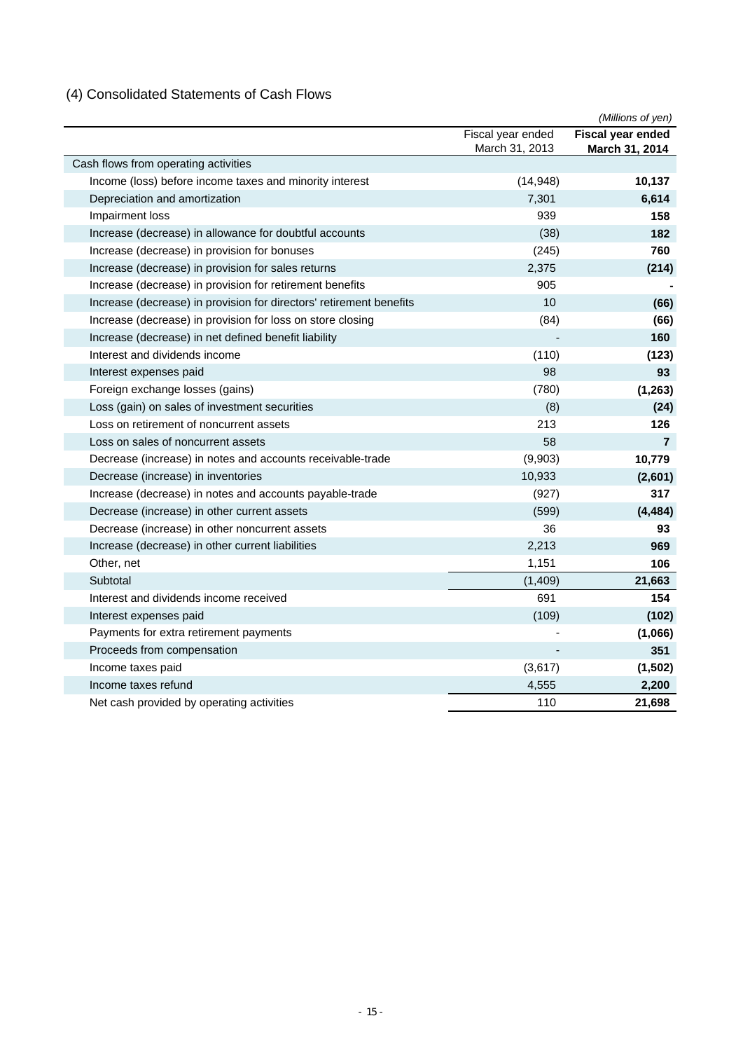## (4) Consolidated Statements of Cash Flows

|                                                                     |                   | (Millions of yen)        |
|---------------------------------------------------------------------|-------------------|--------------------------|
|                                                                     | Fiscal year ended | <b>Fiscal year ended</b> |
|                                                                     | March 31, 2013    | March 31, 2014           |
| Cash flows from operating activities                                |                   |                          |
| Income (loss) before income taxes and minority interest             | (14, 948)         | 10,137                   |
| Depreciation and amortization                                       | 7,301             | 6,614                    |
| Impairment loss                                                     | 939               | 158                      |
| Increase (decrease) in allowance for doubtful accounts              | (38)              | 182                      |
| Increase (decrease) in provision for bonuses                        | (245)             | 760                      |
| Increase (decrease) in provision for sales returns                  | 2,375             | (214)                    |
| Increase (decrease) in provision for retirement benefits            | 905               |                          |
| Increase (decrease) in provision for directors' retirement benefits | 10                | (66)                     |
| Increase (decrease) in provision for loss on store closing          | (84)              | (66)                     |
| Increase (decrease) in net defined benefit liability                |                   | 160                      |
| Interest and dividends income                                       | (110)             | (123)                    |
| Interest expenses paid                                              | 98                | 93                       |
| Foreign exchange losses (gains)                                     | (780)             | (1, 263)                 |
| Loss (gain) on sales of investment securities                       | (8)               | (24)                     |
| Loss on retirement of noncurrent assets                             | 213               | 126                      |
| Loss on sales of noncurrent assets                                  | 58                | $\overline{7}$           |
| Decrease (increase) in notes and accounts receivable-trade          | (9,903)           | 10,779                   |
| Decrease (increase) in inventories                                  | 10,933            | (2,601)                  |
| Increase (decrease) in notes and accounts payable-trade             | (927)             | 317                      |
| Decrease (increase) in other current assets                         | (599)             | (4, 484)                 |
| Decrease (increase) in other noncurrent assets                      | 36                | 93                       |
| Increase (decrease) in other current liabilities                    | 2,213             | 969                      |
| Other, net                                                          | 1,151             | 106                      |
| Subtotal                                                            | (1,409)           | 21,663                   |
| Interest and dividends income received                              | 691               | 154                      |
| Interest expenses paid                                              | (109)             | (102)                    |
| Payments for extra retirement payments                              |                   | (1,066)                  |
| Proceeds from compensation                                          |                   | 351                      |
| Income taxes paid                                                   | (3,617)           | (1, 502)                 |
| Income taxes refund                                                 | 4,555             | 2,200                    |
| Net cash provided by operating activities                           | 110               | 21,698                   |
|                                                                     |                   |                          |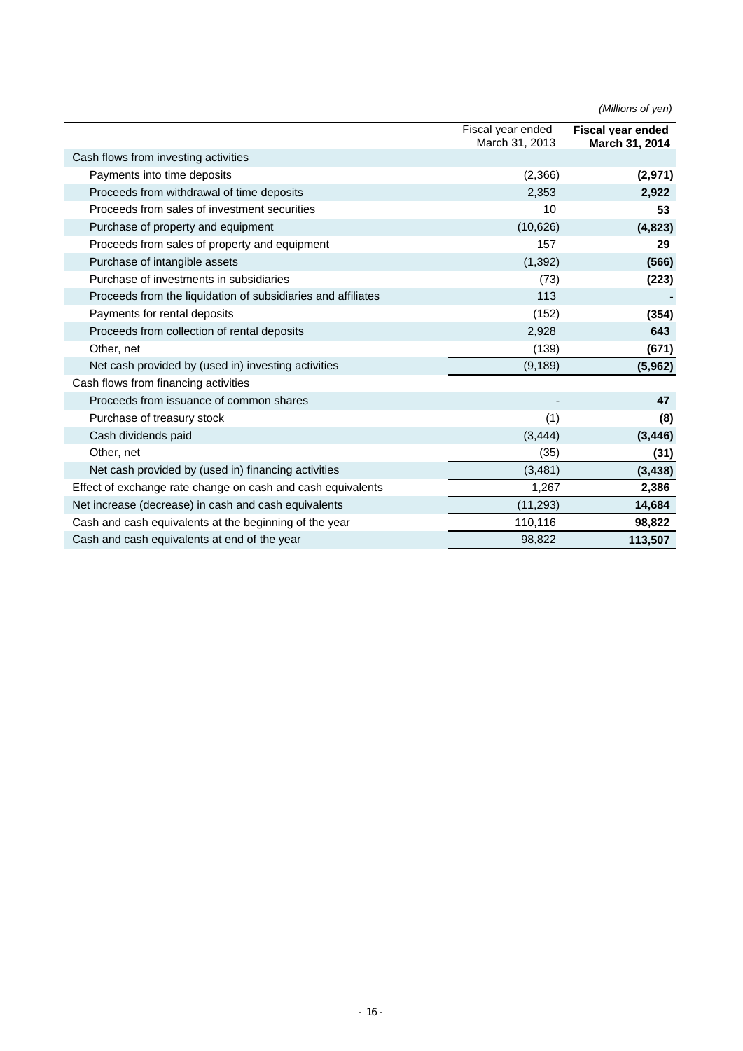|                                                              |                                     | (Millions of yen)                                 |
|--------------------------------------------------------------|-------------------------------------|---------------------------------------------------|
|                                                              | Fiscal year ended<br>March 31, 2013 | <b>Fiscal vear ended</b><br><u>March 31, 2014</u> |
| Cash flows from investing activities                         |                                     |                                                   |
| Payments into time deposits                                  | (2,366)                             | (2,971)                                           |
| Proceeds from withdrawal of time deposits                    | 2,353                               | 2,922                                             |
| Proceeds from sales of investment securities                 | 10                                  | 53                                                |
| Purchase of property and equipment                           | (10,626)                            | (4, 823)                                          |
| Proceeds from sales of property and equipment                | 157                                 | 29                                                |
| Purchase of intangible assets                                | (1, 392)                            | (566)                                             |
| Purchase of investments in subsidiaries                      | (73)                                | (223)                                             |
| Proceeds from the liquidation of subsidiaries and affiliates | 113                                 |                                                   |
| Payments for rental deposits                                 | (152)                               | (354)                                             |
| Proceeds from collection of rental deposits                  | 2,928                               | 643                                               |
| Other, net                                                   | (139)                               | (671)                                             |
| Net cash provided by (used in) investing activities          | (9, 189)                            | (5,962)                                           |
| Cash flows from financing activities                         |                                     |                                                   |
| Proceeds from issuance of common shares                      |                                     | 47                                                |
| Purchase of treasury stock                                   | (1)                                 | (8)                                               |
| Cash dividends paid                                          | (3, 444)                            | (3, 446)                                          |
| Other, net                                                   | (35)                                | (31)                                              |
| Net cash provided by (used in) financing activities          | (3,481)                             | (3, 438)                                          |
| Effect of exchange rate change on cash and cash equivalents  | 1,267                               | 2,386                                             |
| Net increase (decrease) in cash and cash equivalents         | (11, 293)                           | 14,684                                            |
| Cash and cash equivalents at the beginning of the year       | 110,116                             | 98,822                                            |
| Cash and cash equivalents at end of the year                 | 98,822                              | 113,507                                           |